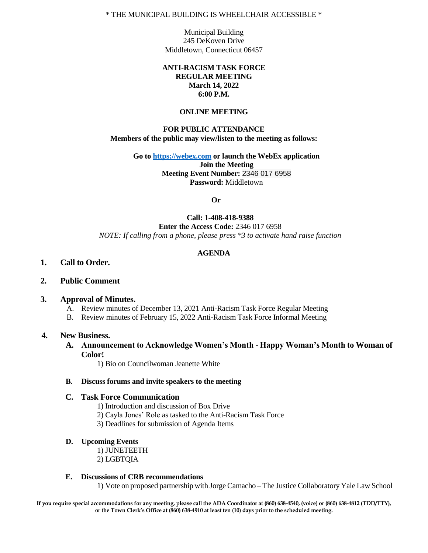Municipal Building 245 DeKoven Drive Middletown, Connecticut 06457

## **ANTI-RACISM TASK FORCE REGULAR MEETING March 14, 2022 6:00 P.M.**

#### **ONLINE MEETING**

## **FOR PUBLIC ATTENDANCE Members of the public may view/listen to the meeting as follows:**

**Go to [https://webex.com](https://webex.com/) or launch the WebEx application Join the Meeting Meeting Event Number:** 2346 017 6958 **Password:** Middletown

**Or**

### **Call: 1-408-418-9388 Enter the Access Code:** 2346 017 6958 *NOTE: If calling from a phone, please press \*3 to activate hand raise function*

# **AGENDA**

- **1. Call to Order.**
- **2. Public Comment**

#### **3. Approval of Minutes.**

- A. Review minutes of December 13, 2021 Anti-Racism Task Force Regular Meeting
- B. Review minutes of February 15, 2022 Anti-Racism Task Force Informal Meeting

#### **4. New Business.**

**A. Announcement to Acknowledge Women's Month** - **Happy Woman's Month to Woman of Color!** 

1) Bio on Councilwoman Jeanette White

#### **B. Discuss forums and invite speakers to the meeting**

#### **C. Task Force Communication**

- 1) Introduction and discussion of Box Drive
- 2) Cayla Jones' Role as tasked to the Anti-Racism Task Force
- 3) Deadlines for submission of Agenda Items

#### **D. Upcoming Events**

1) JUNETEETH 2) LGBTQIA

#### **E. Discussions of CRB recommendations**

1) Vote on proposed partnership with Jorge Camacho – The Justice Collaboratory Yale Law School

**If you require special accommodations for any meeting, please call the ADA Coordinator at (860) 638-4540, (voice) or (860) 638-4812 (TDD/TTY), or the Town Clerk's Office at (860) 638-4910 at least ten (10) days prior to the scheduled meeting.**